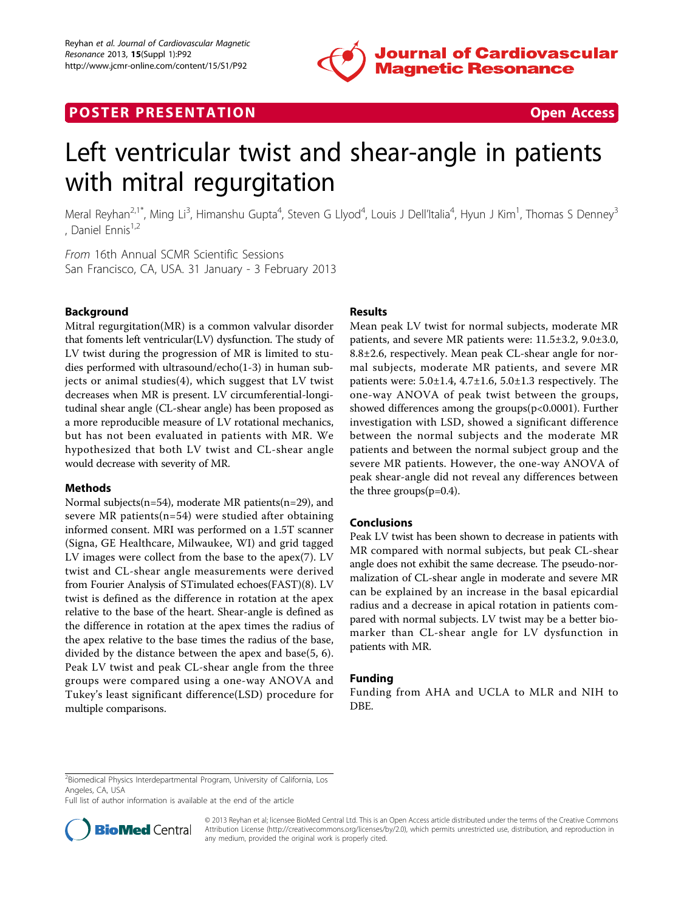

## **POSTER PRESENTATION CONSUMING THE SECOND CONSUMING THE SECOND CONSUMING THE SECOND CONSUMING THE SECOND CONSUMING THE SECOND CONSUMING THE SECOND CONSUMING THE SECOND CONSUMING THE SECOND CONSUMING THE SECOND CONSUMING**



# Left ventricular twist and shear-angle in patients with mitral regurgitation

Meral Reyhan<sup>2,1\*</sup>, Ming Li<sup>3</sup>, Himanshu Gupta<sup>4</sup>, Steven G Llyod<sup>4</sup>, Louis J Dell'Italia<sup>4</sup>, Hyun J Kim<sup>1</sup>, Thomas S Denney<sup>3</sup> , Daniel Ennis<sup>1,2</sup>

From 16th Annual SCMR Scientific Sessions San Francisco, CA, USA. 31 January - 3 February 2013

## Background

Mitral regurgitation(MR) is a common valvular disorder that foments left ventricular(LV) dysfunction. The study of LV twist during the progression of MR is limited to studies performed with ultrasound/echo(1-3) in human subjects or animal studies(4), which suggest that LV twist decreases when MR is present. LV circumferential-longitudinal shear angle (CL-shear angle) has been proposed as a more reproducible measure of LV rotational mechanics, but has not been evaluated in patients with MR. We hypothesized that both LV twist and CL-shear angle would decrease with severity of MR.

## Methods

Normal subjects(n=54), moderate MR patients(n=29), and severe MR patients(n=54) were studied after obtaining informed consent. MRI was performed on a 1.5T scanner (Signa, GE Healthcare, Milwaukee, WI) and grid tagged LV images were collect from the base to the apex(7). LV twist and CL-shear angle measurements were derived from Fourier Analysis of STimulated echoes(FAST)(8). LV twist is defined as the difference in rotation at the apex relative to the base of the heart. Shear-angle is defined as the difference in rotation at the apex times the radius of the apex relative to the base times the radius of the base, divided by the distance between the apex and base(5, 6). Peak LV twist and peak CL-shear angle from the three groups were compared using a one-way ANOVA and Tukey's least significant difference(LSD) procedure for multiple comparisons.

## Results

Mean peak LV twist for normal subjects, moderate MR patients, and severe MR patients were: 11.5±3.2, 9.0±3.0, 8.8±2.6, respectively. Mean peak CL-shear angle for normal subjects, moderate MR patients, and severe MR patients were:  $5.0 \pm 1.4$ ,  $4.7 \pm 1.6$ ,  $5.0 \pm 1.3$  respectively. The one-way ANOVA of peak twist between the groups, showed differences among the groups(p<0.0001). Further investigation with LSD, showed a significant difference between the normal subjects and the moderate MR patients and between the normal subject group and the severe MR patients. However, the one-way ANOVA of peak shear-angle did not reveal any differences between the three groups(p=0.4).

## Conclusions

Peak LV twist has been shown to decrease in patients with MR compared with normal subjects, but peak CL-shear angle does not exhibit the same decrease. The pseudo-normalization of CL-shear angle in moderate and severe MR can be explained by an increase in the basal epicardial radius and a decrease in apical rotation in patients compared with normal subjects. LV twist may be a better biomarker than CL-shear angle for LV dysfunction in patients with MR.

## Funding

Funding from AHA and UCLA to MLR and NIH to DBE.

Full list of author information is available at the end of the article



© 2013 Reyhan et al; licensee BioMed Central Ltd. This is an Open Access article distributed under the terms of the Creative Commons Attribution License [\(http://creativecommons.org/licenses/by/2.0](http://creativecommons.org/licenses/by/2.0)), which permits unrestricted use, distribution, and reproduction in any medium, provided the original work is properly cited.

<sup>&</sup>lt;sup>2</sup> Biomedical Physics Interdepartmental Program, University of California, Los Angeles, CA, USA